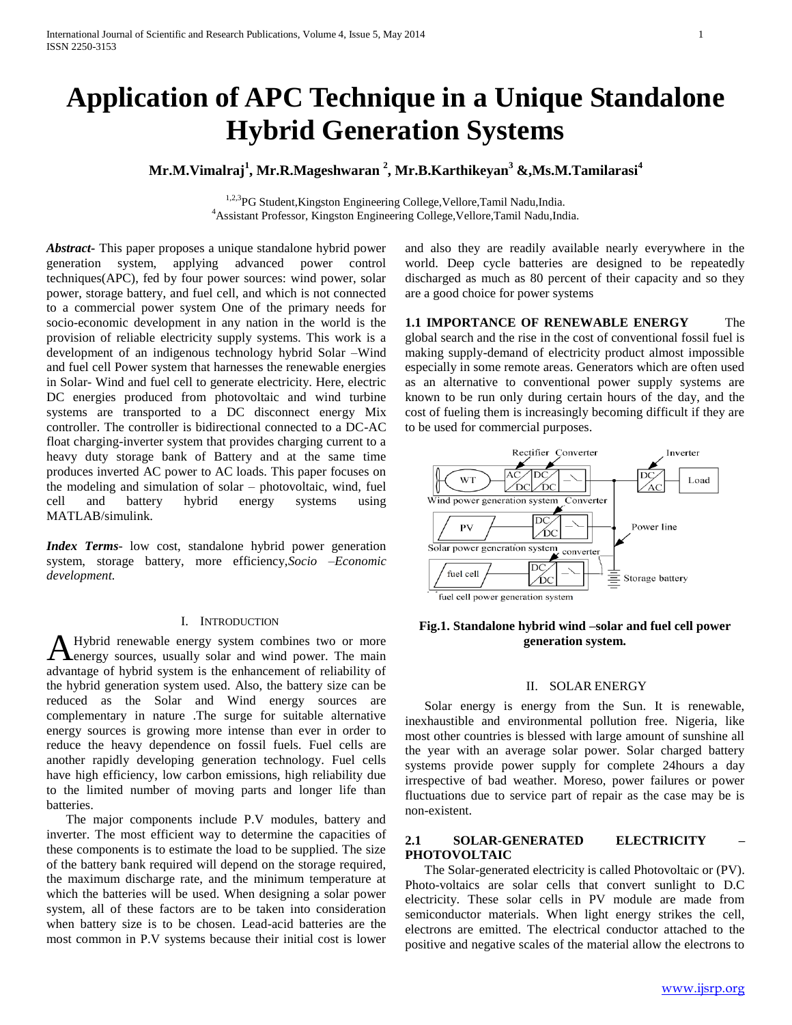# **Application of APC Technique in a Unique Standalone Hybrid Generation Systems**

## **Mr.M.Vimalraj<sup>1</sup> , Mr.R.Mageshwaran <sup>2</sup> , Mr.B.Karthikeyan<sup>3</sup> &,Ms.M.Tamilarasi<sup>4</sup>**

<sup>1,2,3</sup>PG Student, Kingston Engineering College, Vellore, Tamil Nadu, India. <sup>4</sup>Assistant Professor, Kingston Engineering College,Vellore,Tamil Nadu,India.

*Abstract***-** This paper proposes a unique standalone hybrid power generation system, applying advanced power control techniques(APC), fed by four power sources: wind power, solar power, storage battery, and fuel cell, and which is not connected to a commercial power system One of the primary needs for socio-economic development in any nation in the world is the provision of reliable electricity supply systems. This work is a development of an indigenous technology hybrid Solar –Wind and fuel cell Power system that harnesses the renewable energies in Solar- Wind and fuel cell to generate electricity. Here, electric DC energies produced from photovoltaic and wind turbine systems are transported to a DC disconnect energy Mix controller. The controller is bidirectional connected to a DC-AC float charging-inverter system that provides charging current to a heavy duty storage bank of Battery and at the same time produces inverted AC power to AC loads. This paper focuses on the modeling and simulation of solar – photovoltaic, wind, fuel cell and battery hybrid energy systems using MATLAB/simulink.

*Index Terms*- low cost, standalone hybrid power generation system, storage battery, more efficiency,*Socio –Economic development.*

#### I. INTRODUCTION

Hybrid renewable energy system combines two or more A Hybrid renewable energy system combines two or more energy sources, usually solar and wind power. The main advantage of hybrid system is the enhancement of reliability of the hybrid generation system used. Also, the battery size can be reduced as the Solar and Wind energy sources are complementary in nature .The surge for suitable alternative energy sources is growing more intense than ever in order to reduce the heavy dependence on fossil fuels. Fuel cells are another rapidly developing generation technology. Fuel cells have high efficiency, low carbon emissions, high reliability due to the limited number of moving parts and longer life than batteries.

 The major components include P.V modules, battery and inverter. The most efficient way to determine the capacities of these components is to estimate the load to be supplied. The size of the battery bank required will depend on the storage required, the maximum discharge rate, and the minimum temperature at which the batteries will be used. When designing a solar power system, all of these factors are to be taken into consideration when battery size is to be chosen. Lead-acid batteries are the most common in P.V systems because their initial cost is lower

and also they are readily available nearly everywhere in the world. Deep cycle batteries are designed to be repeatedly discharged as much as 80 percent of their capacity and so they are a good choice for power systems

**1.1 IMPORTANCE OF RENEWABLE ENERGY** The global search and the rise in the cost of conventional fossil fuel is making supply-demand of electricity product almost impossible especially in some remote areas. Generators which are often used as an alternative to conventional power supply systems are known to be run only during certain hours of the day, and the cost of fueling them is increasingly becoming difficult if they are to be used for commercial purposes.



## **Fig.1. Standalone hybrid wind –solar and fuel cell power generation system.**

#### II. SOLAR ENERGY

 Solar energy is energy from the Sun. It is renewable, inexhaustible and environmental pollution free. Nigeria, like most other countries is blessed with large amount of sunshine all the year with an average solar power. Solar charged battery systems provide power supply for complete 24hours a day irrespective of bad weather. Moreso, power failures or power fluctuations due to service part of repair as the case may be is non-existent.

## **2.1 SOLAR-GENERATED ELECTRICITY – PHOTOVOLTAIC**

 The Solar-generated electricity is called Photovoltaic or (PV). Photo-voltaics are solar cells that convert sunlight to D.C electricity. These solar cells in PV module are made from semiconductor materials. When light energy strikes the cell, electrons are emitted. The electrical conductor attached to the positive and negative scales of the material allow the electrons to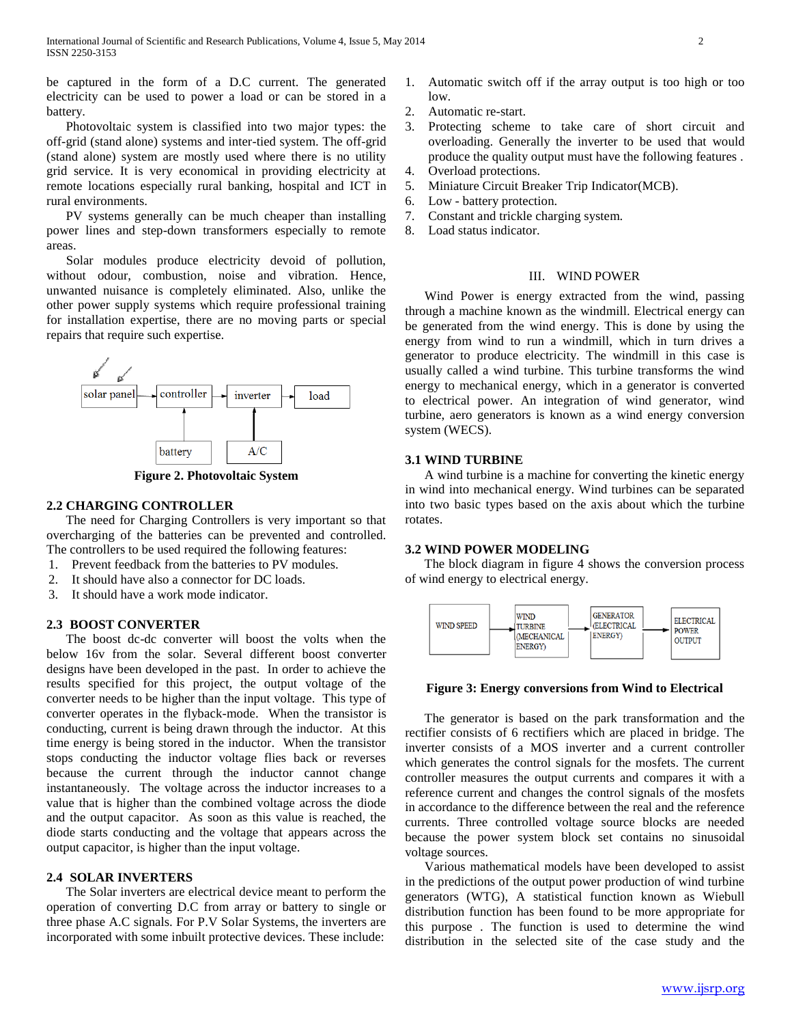be captured in the form of a D.C current. The generated electricity can be used to power a load or can be stored in a battery.

 Photovoltaic system is classified into two major types: the off-grid (stand alone) systems and inter-tied system. The off-grid (stand alone) system are mostly used where there is no utility grid service. It is very economical in providing electricity at remote locations especially rural banking, hospital and ICT in rural environments.

 PV systems generally can be much cheaper than installing power lines and step-down transformers especially to remote areas.

 Solar modules produce electricity devoid of pollution, without odour, combustion, noise and vibration. Hence, unwanted nuisance is completely eliminated. Also, unlike the other power supply systems which require professional training for installation expertise, there are no moving parts or special repairs that require such expertise.



**Figure 2. Photovoltaic System**

## **2.2 CHARGING CONTROLLER**

 The need for Charging Controllers is very important so that overcharging of the batteries can be prevented and controlled. The controllers to be used required the following features:

- 1. Prevent feedback from the batteries to PV modules.
- 2. It should have also a connector for DC loads.
- 3. It should have a work mode indicator.

## **2.3 BOOST CONVERTER**

 The boost dc-dc converter will boost the volts when the below 16v from the solar. Several different boost converter designs have been developed in the past. In order to achieve the results specified for this project, the output voltage of the converter needs to be higher than the input voltage. This type of converter operates in the flyback-mode. When the transistor is conducting, current is being drawn through the inductor. At this time energy is being stored in the inductor. When the transistor stops conducting the inductor voltage flies back or reverses because the current through the inductor cannot change instantaneously. The voltage across the inductor increases to a value that is higher than the combined voltage across the diode and the output capacitor. As soon as this value is reached, the diode starts conducting and the voltage that appears across the output capacitor, is higher than the input voltage.

#### **2.4 SOLAR INVERTERS**

 The Solar inverters are electrical device meant to perform the operation of converting D.C from array or battery to single or three phase A.C signals. For P.V Solar Systems, the inverters are incorporated with some inbuilt protective devices. These include:

- 1. Automatic switch off if the array output is too high or too  $\log$
- 2. Automatic re-start.
- 3. Protecting scheme to take care of short circuit and overloading. Generally the inverter to be used that would produce the quality output must have the following features .
- 4. Overload protections.
- 5. Miniature Circuit Breaker Trip Indicator(MCB).
- 6. Low battery protection.
- 7. Constant and trickle charging system.
- 8. Load status indicator.

## III. WIND POWER

 Wind Power is energy extracted from the wind, passing through a machine known as the windmill. Electrical energy can be generated from the wind energy. This is done by using the energy from wind to run a windmill, which in turn drives a generator to produce electricity. The windmill in this case is usually called a wind turbine. This turbine transforms the wind energy to mechanical energy, which in a generator is converted to electrical power. An integration of wind generator, wind turbine, aero generators is known as a wind energy conversion system (WECS).

#### **3.1 WIND TURBINE**

 A wind turbine is a machine for converting the kinetic energy in wind into mechanical energy. Wind turbines can be separated into two basic types based on the axis about which the turbine rotates.

## **3.2 WIND POWER MODELING**

 The block diagram in figure 4 shows the conversion process of wind energy to electrical energy.



## **Figure 3: Energy conversions from Wind to Electrical**

 The generator is based on the park transformation and the rectifier consists of 6 rectifiers which are placed in bridge. The inverter consists of a MOS inverter and a current controller which generates the control signals for the mosfets. The current controller measures the output currents and compares it with a reference current and changes the control signals of the mosfets in accordance to the difference between the real and the reference currents. Three controlled voltage source blocks are needed because the power system block set contains no sinusoidal voltage sources.

 Various mathematical models have been developed to assist in the predictions of the output power production of wind turbine generators (WTG), A statistical function known as Wiebull distribution function has been found to be more appropriate for this purpose . The function is used to determine the wind distribution in the selected site of the case study and the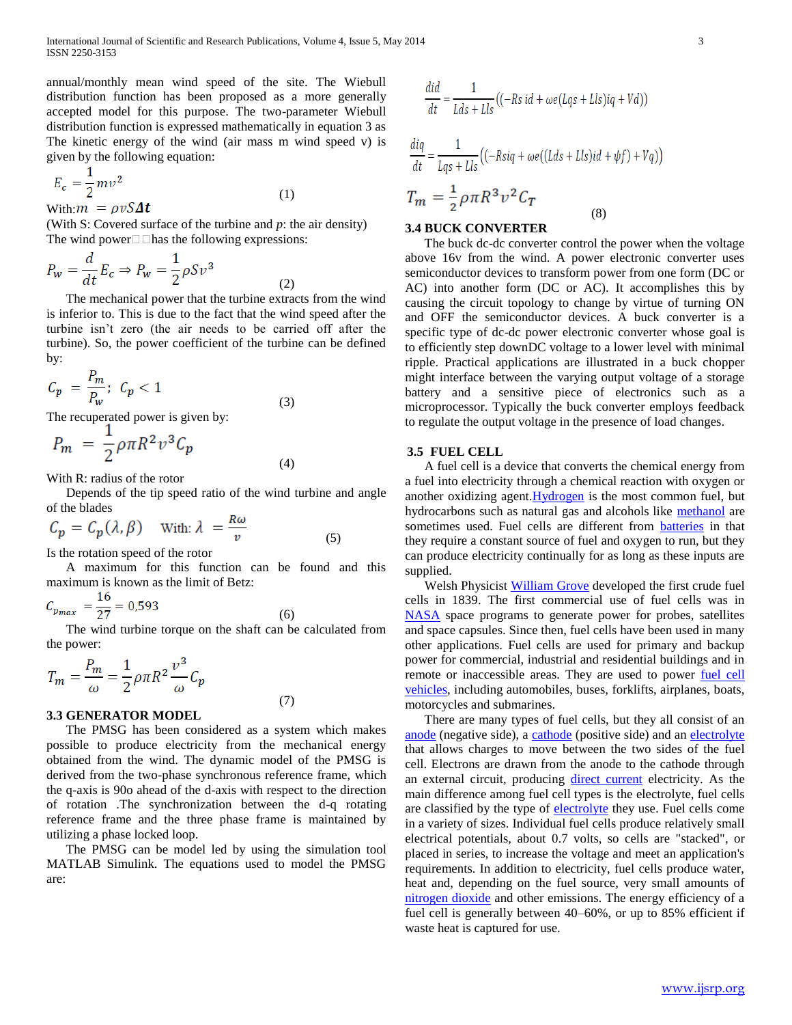annual/monthly mean wind speed of the site. The Wiebull distribution function has been proposed as a more generally accepted model for this purpose. The two-parameter Wiebull distribution function is expressed mathematically in equation 3 as The kinetic energy of the wind (air mass m wind speed v) is given by the following equation:

$$
E_c = \frac{1}{2}mv^2
$$
  
With:  $m = \rho v S \Delta t$  (1)

(With S: Covered surface of the turbine and *p*: the air density) The wind power $\square \square$  has the following expressions:

$$
P_w = \frac{d}{dt} E_c \Rightarrow P_w = \frac{1}{2} \rho S v^3
$$

 The mechanical power that the turbine extracts from the wind is inferior to. This is due to the fact that the wind speed after the turbine isn't zero (the air needs to be carried off after the turbine). So, the power coefficient of the turbine can be defined by:

(2)

(4)

(7)

$$
C_p = \frac{P_m}{P_w}; \ C_p < 1 \tag{3}
$$

The recuperated power is given by:

$$
P_m = \frac{1}{2} \rho \pi R^2 v^3 C_p
$$

With R: radius of the rotor

 Depends of the tip speed ratio of the wind turbine and angle of the blades

$$
C_p = C_p(\lambda, \beta) \quad \text{with: } \lambda = \frac{R\omega}{v} \tag{5}
$$

Is the rotation speed of the rotor

 A maximum for this function can be found and this maximum is known as the limit of Betz:

$$
C_{p_{max}} = \frac{16}{27} = 0.593\tag{6}
$$

 The wind turbine torque on the shaft can be calculated from the power:

$$
T_m = \frac{P_m}{\omega} = \frac{1}{2} \rho \pi R^2 \frac{v^3}{\omega} C_p
$$

## **3.3 GENERATOR MODEL**

 The PMSG has been considered as a system which makes possible to produce electricity from the mechanical energy obtained from the wind. The dynamic model of the PMSG is derived from the two-phase synchronous reference frame, which the q-axis is 90o ahead of the d-axis with respect to the direction of rotation .The synchronization between the d-q rotating reference frame and the three phase frame is maintained by utilizing a phase locked loop.

 The PMSG can be model led by using the simulation tool MATLAB Simulink. The equations used to model the PMSG are:

$$
\frac{did}{dt} = \frac{1}{Lds + Lls} \left( (-Rs\ id + \omega e (Lqs + Lls) iq + Vd) \right)
$$

$$
\frac{diq}{dt} = \frac{1}{Lqs + Lls} \left( \left( -Rsiq + \omega e \left( (Lds + Lls)id + \psi f \right) + Vq \right) \right)
$$

$$
T_m = \frac{1}{2} \rho \pi R^3 v^2 C_T \tag{8}
$$

#### **3.4 BUCK CONVERTER**

 The buck dc-dc converter control the power when the voltage above 16v from the wind. A power electronic converter uses semiconductor devices to transform power from one form (DC or AC) into another form (DC or AC). It accomplishes this by causing the circuit topology to change by virtue of turning ON and OFF the semiconductor devices. A buck converter is a specific type of dc-dc power electronic converter whose goal is to efficiently step downDC voltage to a lower level with minimal ripple. Practical applications are illustrated in a buck chopper might interface between the varying output voltage of a storage battery and a sensitive piece of electronics such as a microprocessor. Typically the buck converter employs feedback to regulate the output voltage in the presence of load changes.

## **3.5 FUEL CELL**

 A fuel cell is a device that converts the chemical energy from a fuel into electricity through a chemical reaction with oxygen or another oxidizing agent. Hydrogen is the most common fuel, but hydrocarbons such as natural gas and alcohols like [methanol](http://en.wikipedia.org/wiki/Methanol) are sometimes used. Fuel cells are different from [batteries](http://en.wikipedia.org/wiki/Battery_%28electricity%29) in that they require a constant source of fuel and oxygen to run, but they can produce electricity continually for as long as these inputs are supplied.

Welsh Physicist [William Grove](http://en.wikipedia.org/wiki/William_Robert_Grove) developed the first crude fuel cells in 1839. The first commercial use of fuel cells was in [NASA](http://en.wikipedia.org/wiki/NASA) space programs to generate power for probes, satellites and space capsules. Since then, fuel cells have been used in many other applications. Fuel cells are used for primary and backup power for commercial, industrial and residential buildings and in remote or inaccessible areas. They are used to power fuel cell [vehicles,](http://en.wikipedia.org/wiki/Fuel_cell_vehicle) including automobiles, buses, forklifts, airplanes, boats, motorcycles and submarines.

 There are many types of fuel cells, but they all consist of an [anode](http://en.wikipedia.org/wiki/Anode) (negative side), a [cathode](http://en.wikipedia.org/wiki/Cathode) (positive side) and an [electrolyte](http://en.wikipedia.org/wiki/Electrolyte) that allows charges to move between the two sides of the fuel cell. Electrons are drawn from the anode to the cathode through an external circuit, producing [direct current](http://en.wikipedia.org/wiki/Direct_current) electricity. As the main difference among fuel cell types is the electrolyte, fuel cells are classified by the type of [electrolyte](http://en.wikipedia.org/wiki/Electrolyte) they use. Fuel cells come in a variety of sizes. Individual fuel cells produce relatively small electrical potentials, about 0.7 volts, so cells are "stacked", or placed in series, to increase the voltage and meet an application's requirements. In addition to electricity, fuel cells produce water, heat and, depending on the fuel source, very small amounts of [nitrogen dioxide](http://en.wikipedia.org/wiki/Nitrogen_dioxide) and other emissions. The energy efficiency of a fuel cell is generally between 40–60%, or up to 85% efficient if waste heat is captured for use.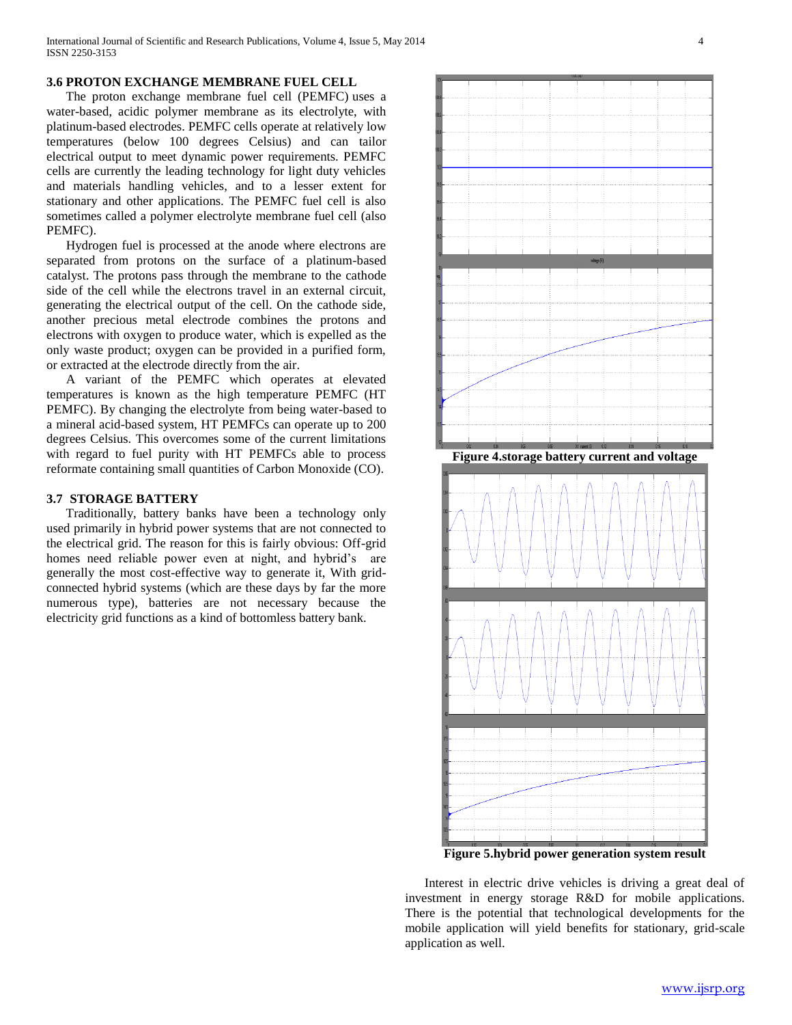## **3.6 PROTON EXCHANGE MEMBRANE FUEL CELL**

 The proton exchange membrane fuel cell (PEMFC) uses a water-based, acidic polymer membrane as its electrolyte, with platinum-based electrodes. PEMFC cells operate at relatively low temperatures (below 100 degrees Celsius) and can tailor electrical output to meet dynamic power requirements. PEMFC cells are currently the leading technology for light duty vehicles and materials handling vehicles, and to a lesser extent for stationary and other applications. The PEMFC fuel cell is also sometimes called a polymer electrolyte membrane fuel cell (also PEMFC).

 Hydrogen fuel is processed at the anode where electrons are separated from protons on the surface of a platinum-based catalyst. The protons pass through the membrane to the cathode side of the cell while the electrons travel in an external circuit, generating the electrical output of the cell. On the cathode side, another precious metal electrode combines the protons and electrons with oxygen to produce water, which is expelled as the only waste product; oxygen can be provided in a purified form, or extracted at the electrode directly from the air.

 A variant of the PEMFC which operates at elevated temperatures is known as the high temperature PEMFC (HT PEMFC). By changing the electrolyte from being water-based to a mineral acid-based system, HT PEMFCs can operate up to 200 degrees Celsius. This overcomes some of the current limitations with regard to fuel purity with HT PEMFCs able to process reformate containing small quantities of Carbon Monoxide (CO).

#### **3.7 STORAGE BATTERY**

 Traditionally, battery banks have been a technology only used primarily in hybrid power systems that are not connected to the electrical grid. The reason for this is fairly obvious: Off-grid homes need reliable power even at night, and hybrid's are generally the most cost-effective way to generate it, With gridconnected hybrid systems (which are these days by far the more numerous type), batteries are not necessary because the electricity grid functions as a kind of bottomless battery bank.



**Figure 5.hybrid power generation system result**

 Interest in electric drive vehicles is driving a great deal of investment in energy storage R&D for mobile applications. There is the potential that technological developments for the mobile application will yield benefits for stationary, grid-scale application as well.